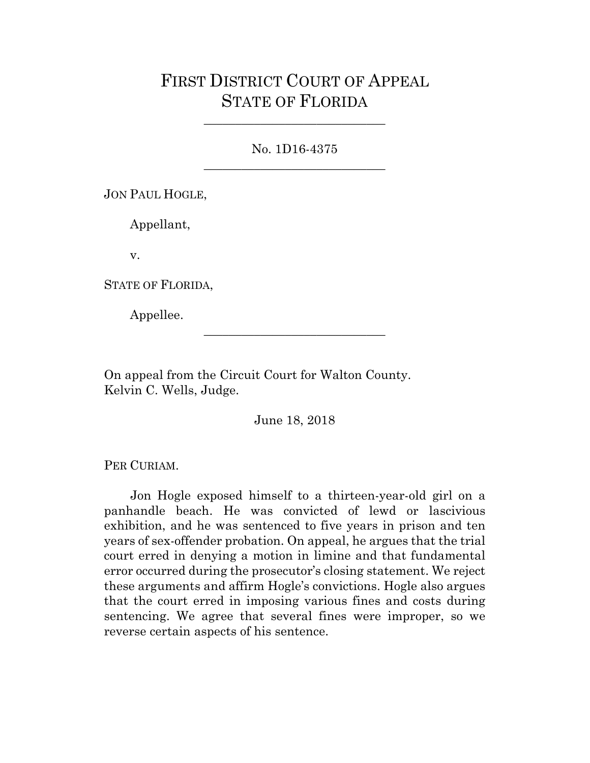# FIRST DISTRICT COURT OF APPEAL STATE OF FLORIDA

# No. 1D16-4375 \_\_\_\_\_\_\_\_\_\_\_\_\_\_\_\_\_\_\_\_\_\_\_\_\_\_\_\_\_

\_\_\_\_\_\_\_\_\_\_\_\_\_\_\_\_\_\_\_\_\_\_\_\_\_\_\_\_\_

JON PAUL HOGLE,

Appellant,

v.

STATE OF FLORIDA,

Appellee.

On appeal from the Circuit Court for Walton County. Kelvin C. Wells, Judge.

June 18, 2018

\_\_\_\_\_\_\_\_\_\_\_\_\_\_\_\_\_\_\_\_\_\_\_\_\_\_\_\_\_

PER CURIAM.

Jon Hogle exposed himself to a thirteen-year-old girl on a panhandle beach. He was convicted of lewd or lascivious exhibition, and he was sentenced to five years in prison and ten years of sex-offender probation. On appeal, he argues that the trial court erred in denying a motion in limine and that fundamental error occurred during the prosecutor's closing statement. We reject these arguments and affirm Hogle's convictions. Hogle also argues that the court erred in imposing various fines and costs during sentencing. We agree that several fines were improper, so we reverse certain aspects of his sentence.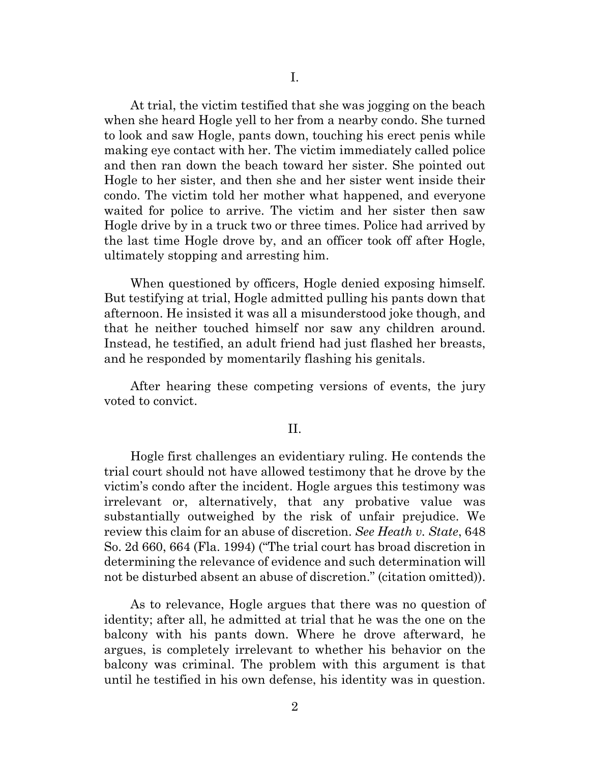At trial, the victim testified that she was jogging on the beach when she heard Hogle yell to her from a nearby condo. She turned to look and saw Hogle, pants down, touching his erect penis while making eye contact with her. The victim immediately called police and then ran down the beach toward her sister. She pointed out Hogle to her sister, and then she and her sister went inside their condo. The victim told her mother what happened, and everyone waited for police to arrive. The victim and her sister then saw Hogle drive by in a truck two or three times. Police had arrived by the last time Hogle drove by, and an officer took off after Hogle, ultimately stopping and arresting him.

When questioned by officers, Hogle denied exposing himself. But testifying at trial, Hogle admitted pulling his pants down that afternoon. He insisted it was all a misunderstood joke though, and that he neither touched himself nor saw any children around. Instead, he testified, an adult friend had just flashed her breasts, and he responded by momentarily flashing his genitals.

After hearing these competing versions of events, the jury voted to convict.

#### II.

Hogle first challenges an evidentiary ruling. He contends the trial court should not have allowed testimony that he drove by the victim's condo after the incident. Hogle argues this testimony was irrelevant or, alternatively, that any probative value was substantially outweighed by the risk of unfair prejudice. We review this claim for an abuse of discretion. *See Heath v. State*, 648 So. 2d 660, 664 (Fla. 1994) ("The trial court has broad discretion in determining the relevance of evidence and such determination will not be disturbed absent an abuse of discretion." (citation omitted)).

As to relevance, Hogle argues that there was no question of identity; after all, he admitted at trial that he was the one on the balcony with his pants down. Where he drove afterward, he argues, is completely irrelevant to whether his behavior on the balcony was criminal. The problem with this argument is that until he testified in his own defense, his identity was in question.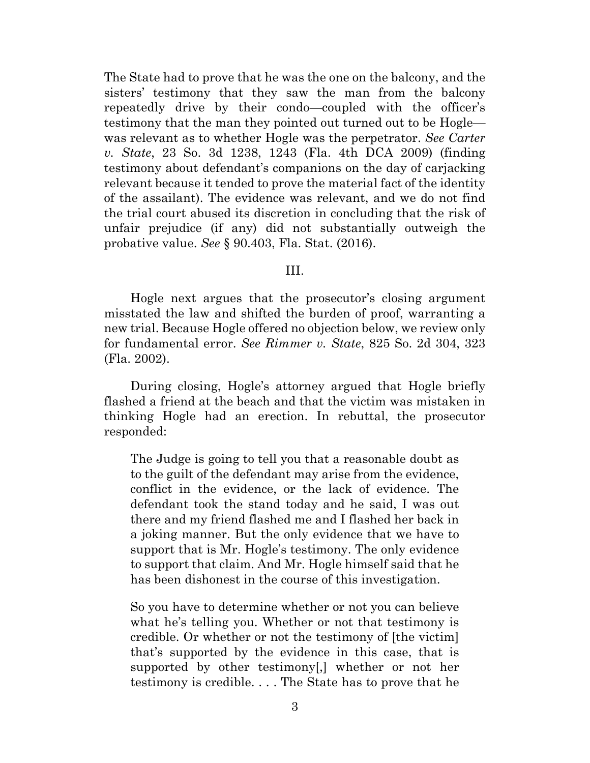The State had to prove that he was the one on the balcony, and the sisters' testimony that they saw the man from the balcony repeatedly drive by their condo—coupled with the officer's testimony that the man they pointed out turned out to be Hogle was relevant as to whether Hogle was the perpetrator. *See Carter v. State*, 23 So. 3d 1238, 1243 (Fla. 4th DCA 2009) (finding testimony about defendant's companions on the day of carjacking relevant because it tended to prove the material fact of the identity of the assailant). The evidence was relevant, and we do not find the trial court abused its discretion in concluding that the risk of unfair prejudice (if any) did not substantially outweigh the probative value. *See* § 90.403, Fla. Stat. (2016).

### III.

Hogle next argues that the prosecutor's closing argument misstated the law and shifted the burden of proof, warranting a new trial. Because Hogle offered no objection below, we review only for fundamental error. *See Rimmer v. State*, 825 So. 2d 304, 323 (Fla. 2002).

During closing, Hogle's attorney argued that Hogle briefly flashed a friend at the beach and that the victim was mistaken in thinking Hogle had an erection. In rebuttal, the prosecutor responded:

The Judge is going to tell you that a reasonable doubt as to the guilt of the defendant may arise from the evidence, conflict in the evidence, or the lack of evidence. The defendant took the stand today and he said, I was out there and my friend flashed me and I flashed her back in a joking manner. But the only evidence that we have to support that is Mr. Hogle's testimony. The only evidence to support that claim. And Mr. Hogle himself said that he has been dishonest in the course of this investigation.

So you have to determine whether or not you can believe what he's telling you. Whether or not that testimony is credible. Or whether or not the testimony of [the victim] that's supported by the evidence in this case, that is supported by other testimony[,] whether or not her testimony is credible. . . . The State has to prove that he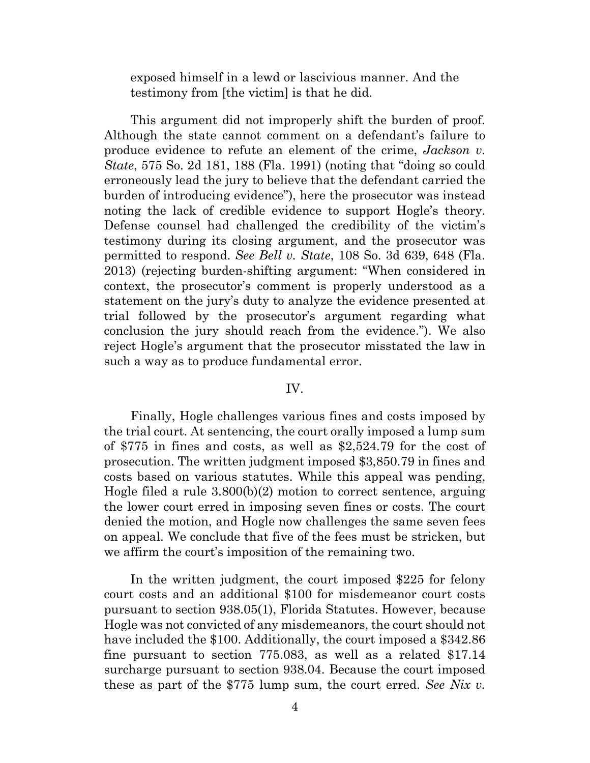exposed himself in a lewd or lascivious manner. And the testimony from [the victim] is that he did.

This argument did not improperly shift the burden of proof. Although the state cannot comment on a defendant's failure to produce evidence to refute an element of the crime, *Jackson v. State*, 575 So. 2d 181, 188 (Fla. 1991) (noting that "doing so could erroneously lead the jury to believe that the defendant carried the burden of introducing evidence"), here the prosecutor was instead noting the lack of credible evidence to support Hogle's theory. Defense counsel had challenged the credibility of the victim's testimony during its closing argument, and the prosecutor was permitted to respond. *See Bell v. State*, 108 So. 3d 639, 648 (Fla. 2013) (rejecting burden-shifting argument: "When considered in context, the prosecutor's comment is properly understood as a statement on the jury's duty to analyze the evidence presented at trial followed by the prosecutor's argument regarding what conclusion the jury should reach from the evidence."). We also reject Hogle's argument that the prosecutor misstated the law in such a way as to produce fundamental error.

## IV.

Finally, Hogle challenges various fines and costs imposed by the trial court. At sentencing, the court orally imposed a lump sum of \$775 in fines and costs, as well as \$2,524.79 for the cost of prosecution. The written judgment imposed \$3,850.79 in fines and costs based on various statutes. While this appeal was pending, Hogle filed a rule 3.800(b)(2) motion to correct sentence, arguing the lower court erred in imposing seven fines or costs. The court denied the motion, and Hogle now challenges the same seven fees on appeal. We conclude that five of the fees must be stricken, but we affirm the court's imposition of the remaining two.

In the written judgment, the court imposed \$225 for felony court costs and an additional \$100 for misdemeanor court costs pursuant to section 938.05(1), Florida Statutes. However, because Hogle was not convicted of any misdemeanors, the court should not have included the \$100. Additionally, the court imposed a \$342.86 fine pursuant to section 775.083, as well as a related \$17.14 surcharge pursuant to section 938.04. Because the court imposed these as part of the \$775 lump sum, the court erred. *See Nix v.*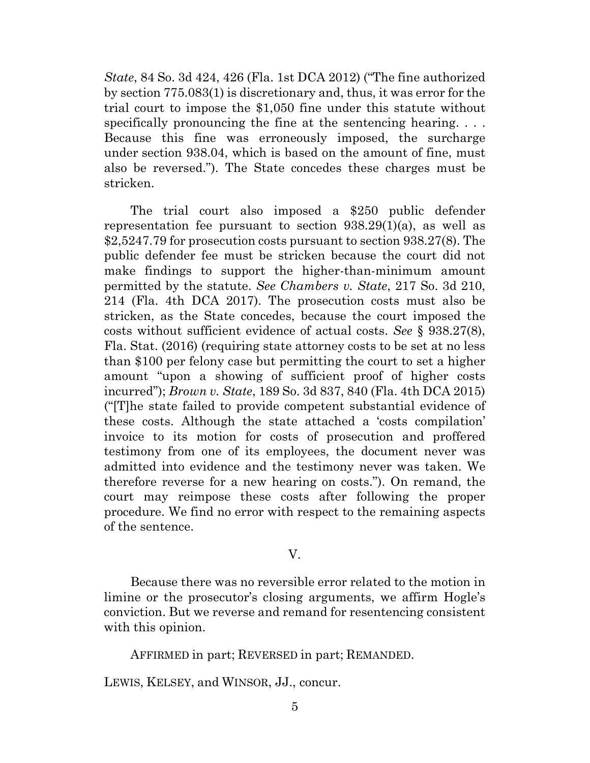*State*, 84 So. 3d 424, 426 (Fla. 1st DCA 2012) ("The fine authorized by section 775.083(1) is discretionary and, thus, it was error for the trial court to impose the \$1,050 fine under this statute without specifically pronouncing the fine at the sentencing hearing. ... Because this fine was erroneously imposed, the surcharge under section 938.04, which is based on the amount of fine, must also be reversed."). The State concedes these charges must be stricken.

The trial court also imposed a \$250 public defender representation fee pursuant to section 938.29(1)(a), as well as \$2,5247.79 for prosecution costs pursuant to section 938.27(8). The public defender fee must be stricken because the court did not make findings to support the higher-than-minimum amount permitted by the statute. *See Chambers v. State*, 217 So. 3d 210, 214 (Fla. 4th DCA 2017). The prosecution costs must also be stricken, as the State concedes, because the court imposed the costs without sufficient evidence of actual costs. *See* § 938.27(8), Fla. Stat. (2016) (requiring state attorney costs to be set at no less than \$100 per felony case but permitting the court to set a higher amount "upon a showing of sufficient proof of higher costs incurred"); *Brown v. State*, 189 So. 3d 837, 840 (Fla. 4th DCA 2015) ("[T]he state failed to provide competent substantial evidence of these costs. Although the state attached a 'costs compilation' invoice to its motion for costs of prosecution and proffered testimony from one of its employees, the document never was admitted into evidence and the testimony never was taken. We therefore reverse for a new hearing on costs."). On remand, the court may reimpose these costs after following the proper procedure. We find no error with respect to the remaining aspects of the sentence.

#### V.

Because there was no reversible error related to the motion in limine or the prosecutor's closing arguments, we affirm Hogle's conviction. But we reverse and remand for resentencing consistent with this opinion.

AFFIRMED in part; REVERSED in part; REMANDED.

LEWIS, KELSEY, and WINSOR, JJ., concur.